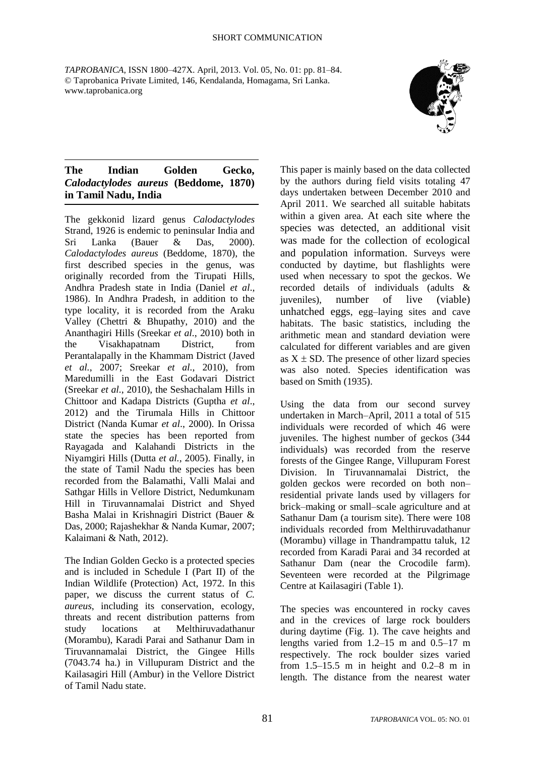*TAPROBANICA*, ISSN 1800–427X. April, 2013. Vol. 05, No. 01: pp. 81–84. © Taprobanica Private Limited, 146, Kendalanda, Homagama, Sri Lanka. www.taprobanica.org



## **The Indian Golden Gecko,**  *Calodactylodes aureus* **(Beddome, 1870) in Tamil Nadu, India**

The gekkonid lizard genus *Calodactylodes*  Strand, 1926 is endemic to peninsular India and Sri Lanka (Bauer & Das, 2000). *Calodactylodes aureus* (Beddome, 1870), the first described species in the genus, was originally recorded from the Tirupati Hills, Andhra Pradesh state in India (Daniel *et al*., 1986). In Andhra Pradesh, in addition to the type locality, it is recorded from the Araku Valley (Chettri & Bhupathy, 2010) and the Ananthagiri Hills (Sreekar *et al.*, 2010) both in the Visakhapatnam District, from Perantalapally in the Khammam District (Javed *et al.*, 2007; Sreekar *et al.*, 2010), from Maredumilli in the East Godavari District (Sreekar *et al.*, 2010), the Seshachalam Hills in Chittoor and Kadapa Districts (Guptha *et al*., 2012) and the Tirumala Hills in Chittoor District (Nanda Kumar *et al*., 2000). In Orissa state the species has been reported from Rayagada and Kalahandi Districts in the Niyamgiri Hills (Dutta *et al.*, 2005). Finally, in the state of Tamil Nadu the species has been recorded from the Balamathi, Valli Malai and Sathgar Hills in Vellore District, Nedumkunam Hill in Tiruvannamalai District and Shyed Basha Malai in Krishnagiri District (Bauer & Das, 2000; Rajashekhar & Nanda Kumar, 2007; Kalaimani & Nath, 2012).

The Indian Golden Gecko is a protected species and is included in Schedule I (Part II) of the Indian Wildlife (Protection) Act, 1972. In this paper, we discuss the current status of *C. aureus*, including its conservation, ecology, threats and recent distribution patterns from study locations at Melthiruvadathanur (Morambu), Karadi Parai and Sathanur Dam in Tiruvannamalai District, the Gingee Hills (7043.74 ha.) in Villupuram District and the Kailasagiri Hill (Ambur) in the Vellore District of Tamil Nadu state.

This paper is mainly based on the data collected by the authors during field visits totaling 47 days undertaken between December 2010 and April 2011. We searched all suitable habitats within a given area. At each site where the species was detected, an additional visit was made for the collection of ecological and population information. Surveys were conducted by daytime, but flashlights were used when necessary to spot the geckos. We recorded details of individuals (adults & juveniles), number of live (viable) unhatched eggs, egg–laying sites and cave habitats. The basic statistics, including the arithmetic mean and standard deviation were calculated for different variables and are given as  $X \pm SD$ . The presence of other lizard species was also noted. Species identification was based on Smith (1935).

Using the data from our second survey undertaken in March–April, 2011 a total of 515 individuals were recorded of which 46 were juveniles. The highest number of geckos (344 individuals) was recorded from the reserve forests of the Gingee Range, Villupuram Forest Division. In Tiruvannamalai District, the golden geckos were recorded on both non– residential private lands used by villagers for brick–making or small–scale agriculture and at Sathanur Dam (a tourism site). There were 108 individuals recorded from Melthiruvadathanur (Morambu) village in Thandrampattu taluk, 12 recorded from Karadi Parai and 34 recorded at Sathanur Dam (near the Crocodile farm). Seventeen were recorded at the Pilgrimage Centre at Kailasagiri (Table 1).

The species was encountered in rocky caves and in the crevices of large rock boulders during daytime (Fig. 1). The cave heights and lengths varied from 1.2–15 m and 0.5–17 m respectively. The rock boulder sizes varied from  $1.5-15.5$  m in height and  $0.2-8$  m in length. The distance from the nearest water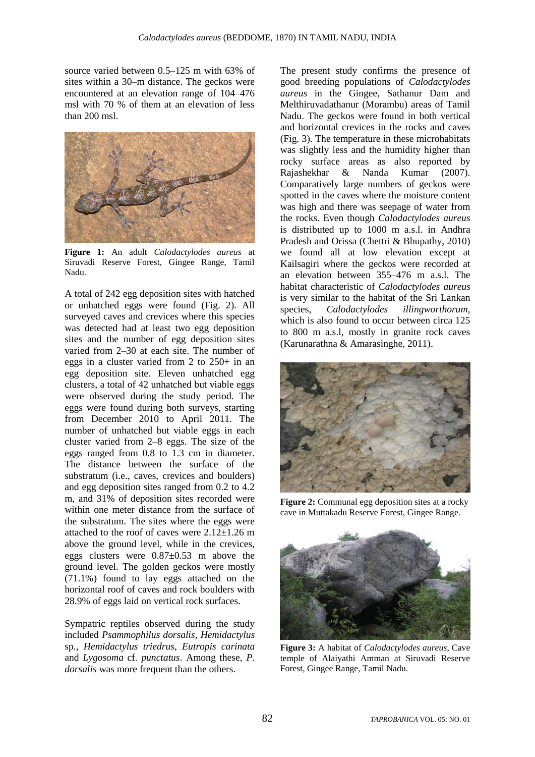source varied between 0.5–125 m with 63% of sites within a 30–m distance. The geckos were encountered at an elevation range of 104–476 msl with 70 % of them at an elevation of less than 200 msl.



**Figure 1:** An adult *Calodactylodes aureus* at Siruvadi Reserve Forest, Gingee Range, Tamil Nadu.

A total of 242 egg deposition sites with hatched or unhatched eggs were found (Fig. 2). All surveyed caves and crevices where this species was detected had at least two egg deposition sites and the number of egg deposition sites varied from 2–30 at each site. The number of eggs in a cluster varied from 2 to 250+ in an egg deposition site. Eleven unhatched egg clusters, a total of 42 unhatched but viable eggs were observed during the study period. The eggs were found during both surveys, starting from December 2010 to April 2011. The number of unhatched but viable eggs in each cluster varied from 2–8 eggs. The size of the eggs ranged from 0.8 to 1.3 cm in diameter. The distance between the surface of the substratum (i.e., caves, crevices and boulders) and egg deposition sites ranged from 0.2 to 4.2 m, and 31% of deposition sites recorded were within one meter distance from the surface of the substratum. The sites where the eggs were attached to the roof of caves were 2.12±1.26 m above the ground level, while in the crevices, eggs clusters were 0.87±0.53 m above the ground level. The golden geckos were mostly (71.1%) found to lay eggs attached on the horizontal roof of caves and rock boulders with 28.9% of eggs laid on vertical rock surfaces.

Sympatric reptiles observed during the study included *Psammophilus dorsalis*, *Hemidactylus*  sp*.*, *Hemidactylus triedrus*, *Eutropis carinata* and *Lygosoma* cf. *punctatus*. Among these, *P. dorsalis* was more frequent than the others.

The present study confirms the presence of good breeding populations of *Calodactylodes aureus* in the Gingee, Sathanur Dam and Melthiruvadathanur (Morambu) areas of Tamil Nadu. The geckos were found in both vertical and horizontal crevices in the rocks and caves (Fig. 3). The temperature in these microhabitats was slightly less and the humidity higher than rocky surface areas as also reported by Rajashekhar & Nanda Kumar (2007). Comparatively large numbers of geckos were spotted in the caves where the moisture content was high and there was seepage of water from the rocks. Even though *Calodactylodes aureus* is distributed up to 1000 m a.s.l. in Andhra Pradesh and Orissa (Chettri & Bhupathy, 2010) we found all at low elevation except at Kailsagiri where the geckos were recorded at an elevation between 355–476 m a.s.l. The habitat characteristic of *Calodactylodes aureus* is very similar to the habitat of the Sri Lankan species, *Calodactylodes illingworthorum,*  which is also found to occur between circa 125 to 800 m a.s.l, mostly in granite rock caves (Karunarathna & Amarasinghe, 2011).



**Figure 2:** Communal egg deposition sites at a rocky cave in Muttakadu Reserve Forest, Gingee Range.



**Figure 3:** A habitat of *Calodactylodes aureus*, Cave temple of Alaiyathi Amman at Siruvadi Reserve Forest, Gingee Range, Tamil Nadu.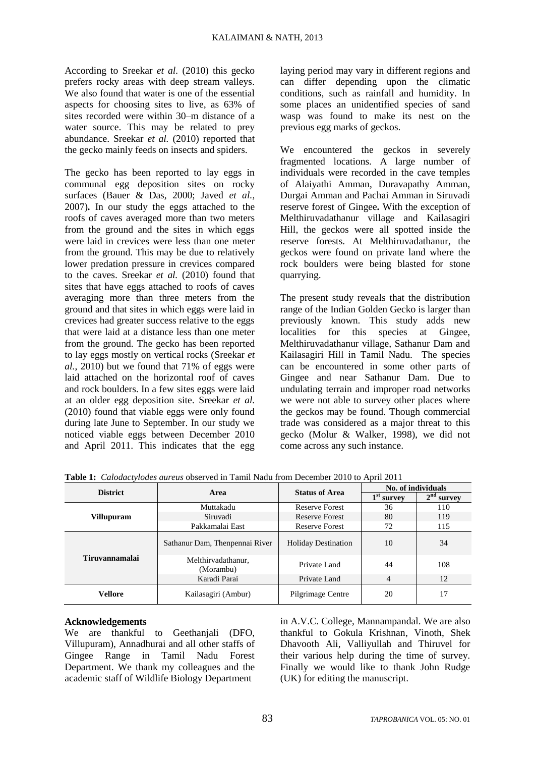According to Sreekar *et al.* (2010) this gecko prefers rocky areas with deep stream valleys. We also found that water is one of the essential aspects for choosing sites to live, as 63% of sites recorded were within 30–m distance of a water source. This may be related to prey abundance. Sreekar *et al.* (2010) reported that the gecko mainly feeds on insects and spiders.

The gecko has been reported to lay eggs in communal egg deposition sites on rocky surfaces (Bauer & Das, 2000; Javed *et al.,*  2007)*.* In our study the eggs attached to the roofs of caves averaged more than two meters from the ground and the sites in which eggs were laid in crevices were less than one meter from the ground. This may be due to relatively lower predation pressure in crevices compared to the caves. Sreekar *et al.* (2010) found that sites that have eggs attached to roofs of caves averaging more than three meters from the ground and that sites in which eggs were laid in crevices had greater success relative to the eggs that were laid at a distance less than one meter from the ground. The gecko has been reported to lay eggs mostly on vertical rocks (Sreekar *et al.*, 2010) but we found that 71% of eggs were laid attached on the horizontal roof of caves and rock boulders. In a few sites eggs were laid at an older egg deposition site. Sreekar *et al.* (2010) found that viable eggs were only found during late June to September. In our study we noticed viable eggs between December 2010 and April 2011. This indicates that the egg

laying period may vary in different regions and can differ depending upon the climatic conditions, such as rainfall and humidity. In some places an unidentified species of sand wasp was found to make its nest on the previous egg marks of geckos.

We encountered the geckos in severely fragmented locations. A large number of individuals were recorded in the cave temples of Alaiyathi Amman, Duravapathy Amman, Durgai Amman and Pachai Amman in Siruvadi reserve forest of Gingee*.* With the exception of Melthiruvadathanur village and Kailasagiri Hill, the geckos were all spotted inside the reserve forests. At Melthiruvadathanur, the geckos were found on private land where the rock boulders were being blasted for stone quarrying.

The present study reveals that the distribution range of the Indian Golden Gecko is larger than previously known. This study adds new localities for this species at Gingee, Melthiruvadathanur village, Sathanur Dam and Kailasagiri Hill in Tamil Nadu. The species can be encountered in some other parts of Gingee and near Sathanur Dam. Due to undulating terrain and improper road networks we were not able to survey other places where the geckos may be found. Though commercial trade was considered as a major threat to this gecko (Molur & Walker, 1998), we did not come across any such instance.

| <b>District</b>       | Area                            | <b>Status of Area</b>      | No. of individuals |              |
|-----------------------|---------------------------------|----------------------------|--------------------|--------------|
|                       |                                 |                            | $1st$ survey       | $2nd$ survey |
| <b>Villupuram</b>     | Muttakadu                       | <b>Reserve Forest</b>      | 36                 | 110          |
|                       | Siruvadi                        | <b>Reserve Forest</b>      | 80                 | 119          |
|                       | Pakkamalai East                 | <b>Reserve Forest</b>      | 72                 | 115          |
| <b>Tiruvannamalai</b> | Sathanur Dam, Thenpennai River  | <b>Holiday Destination</b> | 10                 | 34           |
|                       | Melthirvadathanur,<br>(Morambu) | Private Land               | 44                 | 108          |
|                       | Karadi Parai                    | Private Land               | 4                  | 12           |
| Vellore               | Kailasagiri (Ambur)             | Pilgrimage Centre          | 20                 | 17           |

**Table 1:** *Calodactylodes aureus* observed in Tamil Nadu from December 2010 to April 2011

## **Acknowledgements**

We are thankful to Geethanjali (DFO, Villupuram), Annadhurai and all other staffs of Gingee Range in Tamil Nadu Forest Department. We thank my colleagues and the academic staff of Wildlife Biology Department

in A.V.C. College, Mannampandal. We are also thankful to Gokula Krishnan, Vinoth, Shek Dhavooth Ali, Valliyullah and Thiruvel for their various help during the time of survey. Finally we would like to thank John Rudge (UK) for editing the manuscript.